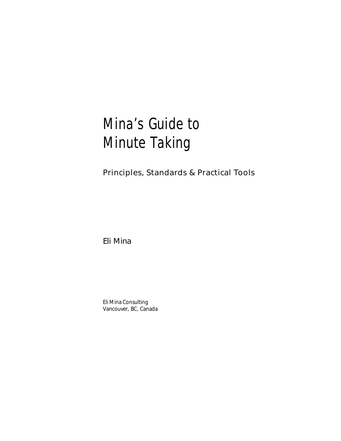## Mina's Guide to Minute Taking

*Principles, Standards & Practical Tools*

Eli Mina

Eli Mina Consulting Vancouver, BC, Canada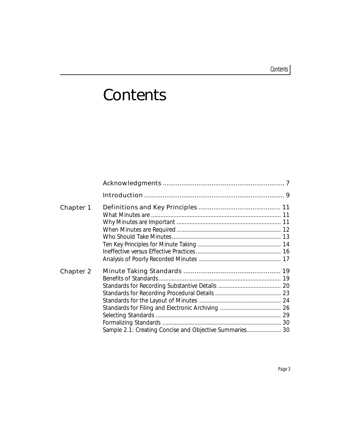# **Contents**

| Chapter 1 |                                                         |  |  |
|-----------|---------------------------------------------------------|--|--|
|           |                                                         |  |  |
|           |                                                         |  |  |
|           |                                                         |  |  |
|           |                                                         |  |  |
|           |                                                         |  |  |
|           |                                                         |  |  |
|           |                                                         |  |  |
| Chapter 2 |                                                         |  |  |
|           |                                                         |  |  |
|           |                                                         |  |  |
|           |                                                         |  |  |
|           |                                                         |  |  |
|           |                                                         |  |  |
|           |                                                         |  |  |
|           |                                                         |  |  |
|           | Sample 2.1: Creating Concise and Objective Summaries 30 |  |  |
|           |                                                         |  |  |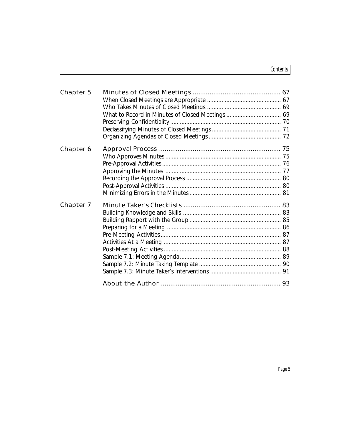### Contents

| Chapter 5 |  |
|-----------|--|
|           |  |
|           |  |
|           |  |
| Chapter 6 |  |
|           |  |
|           |  |
|           |  |
|           |  |
|           |  |
|           |  |
| Chapter 7 |  |
|           |  |
|           |  |
|           |  |
|           |  |
|           |  |
|           |  |
|           |  |
|           |  |
|           |  |
|           |  |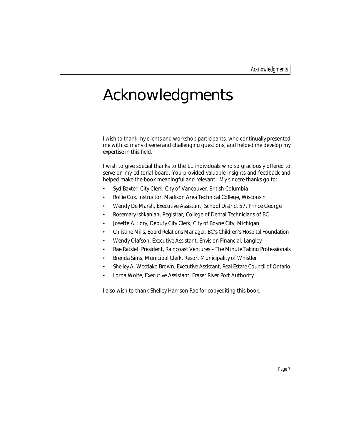### Acknowledgments

I wish to thank my clients and workshop participants, who continually presented me with so many diverse and challenging questions, and helped me develop my expertise in this field.

I wish to give special thanks to the 11 individuals who so graciously offered to serve on my editorial board. You provided valuable insights and feedback and helped make the book meaningful and relevant. My sincere thanks go to:

- Syd Baxter, City Clerk, City of Vancouver, British Columbia
- Rollie Cox, Instructor, Madison Area Technical College, Wisconsin
- Wendy De Marsh, Executive Assistant, School District 57, Prince George
- Rosemary Ishkanian, Registrar, College of Dental Technicians of BC
- Josette A. Lory, Deputy City Clerk, City of Boyne City, Michigan
- Christine Mills, Board Relations Manager, BC's Children's Hospital Foundation
- Wendy Olafson, Executive Assistant, Envision Financial, Langley
- Rae Ratslef, President, Raincoast Ventures The Minute Taking Professionals
- Brenda Sims, Municipal Clerk, Resort Municipality of Whistler
- Shelley A. Westlake-Brown, Executive Assistant, Real Estate Council of Ontario
- Lorna Wolfe, Executive Assistant, Fraser River Port Authority

I also wish to thank Shelley Harrison Rae for copyediting this book.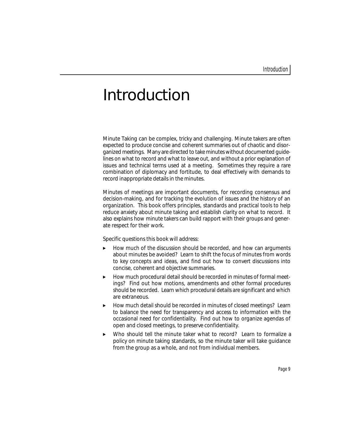### Introduction

Minute Taking can be complex, tricky and challenging. Minute takers are often expected to produce concise and coherent summaries out of chaotic and disorganized meetings. Many are directed to take minutes without documented guidelines on what to record and what to leave out, and without a prior explanation of issues and technical terms used at a meeting. Sometimes they require a rare combination of diplomacy and fortitude, to deal effectively with demands to record inappropriate details in the minutes.

Minutes of meetings are important documents, for recording consensus and decision-making, and for tracking the evolution of issues and the history of an organization. This book offers principles, standards and practical tools to help reduce anxiety about minute taking and establish clarity on what to record. It also explains how minute takers can build rapport with their groups and generate respect for their work.

Specific questions this book will address:

- How much of the discussion should be recorded, and how can arguments about minutes be avoided? Learn to shift the focus of minutes from words to key concepts and ideas, and find out how to convert discussions into concise, coherent and objective summaries.
- <sup>8</sup> How much procedural detail should be recorded in minutes of formal meetings? Find out how motions, amendments and other formal procedures should be recorded. Learn which procedural details are significant and which are extraneous.
- <sup>8</sup> How much detail should be recorded in minutes of closed meetings? Learn to balance the need for transparency and access to information with the occasional need for confidentiality. Find out how to organize agendas of open and closed meetings, to preserve confidentiality.
- <sup>8</sup> Who should tell the minute taker what to record? Learn to formalize a policy on minute taking standards, so the minute taker will take guidance from the group as a whole, and not from individual members.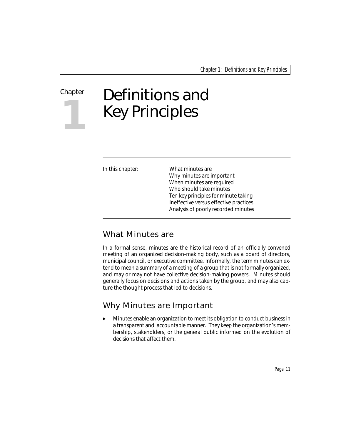|  | Chapter |
|--|---------|
|  |         |
|  |         |
|  |         |

## Definitions and Key Principles

- In this chapter: **What minutes are** 
	- · Why minutes are important
	- · When minutes are required
	- · Who should take minutes
	- · Ten key principles for minute taking
	- · Ineffective versus effective practices
	- · Analysis of poorly recorded minutes

#### What Minutes are

In a formal sense, minutes are the historical record of an officially convened meeting of an organized decision-making body, such as a board of directors, municipal council, or executive committee. Informally, the term *minutes* can extend to mean a summary of a meeting of a group that is not formally organized, and may or may not have collective decision-making powers. Minutes should generally focus on decisions and actions taken by the group, and may also capture the thought process that led to decisions.

#### Why Minutes are Important

Minutes enable an organization to meet its obligation to conduct business in a transparent and accountable manner. They keep the organization's membership, stakeholders, or the general public informed on the evolution of decisions that affect them.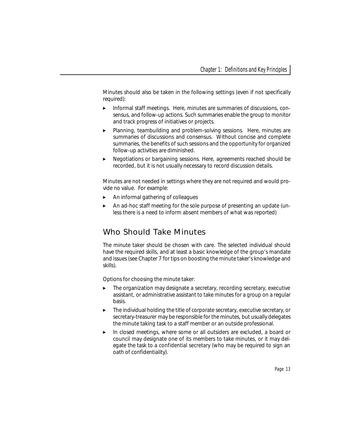Minutes should also be taken in the following settings (even if not specifically required):

- **B** Informal staff meetings. Here, minutes are summaries of discussions, consensus, and follow-up actions. Such summaries enable the group to monitor and track progress of initiatives or projects.
- Planning, teambuilding and problem-solving sessions. Here, minutes are summaries of discussions and consensus. Without concise and complete summaries, the benefits of such sessions and the opportunity for organized follow-up activities are diminished.
- Negotiations or bargaining sessions. Here, agreements reached should be recorded, but it is not usually necessary to record discussion details.

Minutes are not needed in settings where they are not required and would provide no value. For example:

- <sup>8</sup> An informal gathering of colleagues
- An ad-hoc staff meeting for the sole purpose of presenting an update (unless there is a need to inform absent members of what was reported)

#### Who Should Take Minutes

The minute taker should be chosen with care. The selected individual should have the required skills, and at least a basic knowledge of the group's mandate and issues (see Chapter 7 for tips on boosting the minute taker's knowledge and skills).

Options for choosing the minute taker:

- <sup>8</sup> The organization may designate a *secretary*, *recording secretary*, *executive assistant*, or *administrative assistant* to take minutes for a group on a regular basis.
- <sup>8</sup> The individual holding the title of *corporate secretary, executive secretary*, or *secretary-treasurer* may be responsible for the minutes, but usually delegates the minute taking task to a staff member or an outside professional.
- <sup>8</sup> In closed meetings, where some or all outsiders are excluded, a board or council may designate one of its members to take minutes, or it may delegate the task to a *confidential secretary* (who may be required to sign an oath of confidentiality).